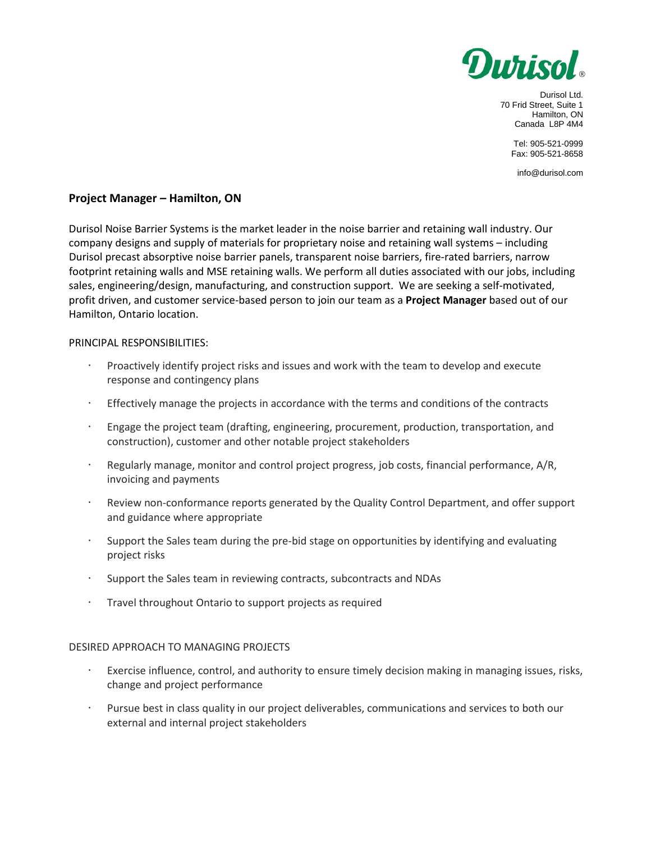

Durisol Ltd. 70 Frid Street, Suite 1 Hamilton, ON Canada L8P 4M4

> Tel: 905-521-0999 Fax: 905-521-8658

info@durisol.com

## **Project Manager – Hamilton, ON**

Durisol Noise Barrier Systems is the market leader in the noise barrier and retaining wall industry. Our company designs and supply of materials for proprietary noise and retaining wall systems – including Durisol precast absorptive noise barrier panels, transparent noise barriers, fire-rated barriers, narrow footprint retaining walls and MSE retaining walls. We perform all duties associated with our jobs, including sales, engineering/design, manufacturing, and construction support. We are seeking a self-motivated, profit driven, and customer service-based person to join our team as a **Project Manager** based out of our Hamilton, Ontario location.

## PRINCIPAL RESPONSIBILITIES:

- Proactively identify project risks and issues and work with the team to develop and execute response and contingency plans
- Effectively manage the projects in accordance with the terms and conditions of the contracts
- · Engage the project team (drafting, engineering, procurement, production, transportation, and construction), customer and other notable project stakeholders
- · Regularly manage, monitor and control project progress, job costs, financial performance, A/R, invoicing and payments
- Review non-conformance reports generated by the Quality Control Department, and offer support and guidance where appropriate
- · Support the Sales team during the pre-bid stage on opportunities by identifying and evaluating project risks
- Support the Sales team in reviewing contracts, subcontracts and NDAs
- · Travel throughout Ontario to support projects as required

## DESIRED APPROACH TO MANAGING PROJECTS

- · Exercise influence, control, and authority to ensure timely decision making in managing issues, risks, change and project performance
- Pursue best in class quality in our project deliverables, communications and services to both our external and internal project stakeholders